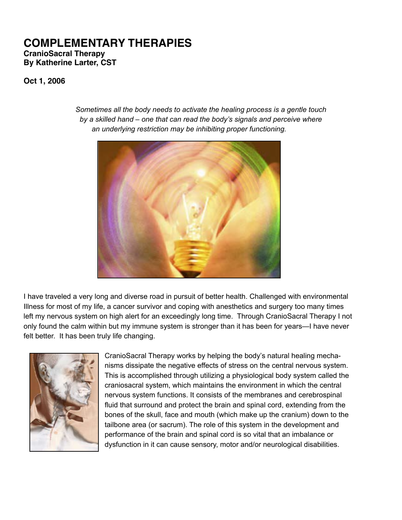## **COMPLEMENTARY THERAPIES CranioSacral Therapy By Katherine Larter, CST**

**Oct 1, 2006**



*Sometimes all the body needs to activate the healing process is a gentle touch by a skilled hand – one that can read the body's signals and perceive where an underlying restriction may be inhibiting proper functioning.*

I have traveled a very long and diverse road in pursuit of better health. Challenged with environmental Illness for most of my life, a cancer survivor and coping with anesthetics and surgery too many times left my nervous system on high alert for an exceedingly long time. Through CranioSacral Therapy I not only found the calm within but my immune system is stronger than it has been for years—I have never felt better. It has been truly life changing.



CranioSacral Therapy works by helping the body's natural healing mechanisms dissipate the negative effects of stress on the central nervous system. This is accomplished through utilizing a physiological body system called the craniosacral system, which maintains the environment in which the central nervous system functions. It consists of the membranes and cerebrospinal fluid that surround and protect the brain and spinal cord, extending from the bones of the skull, face and mouth (which make up the cranium) down to the tailbone area (or sacrum). The role of this system in the development and performance of the brain and spinal cord is so vital that an imbalance or dysfunction in it can cause sensory, motor and/or neurological disabilities.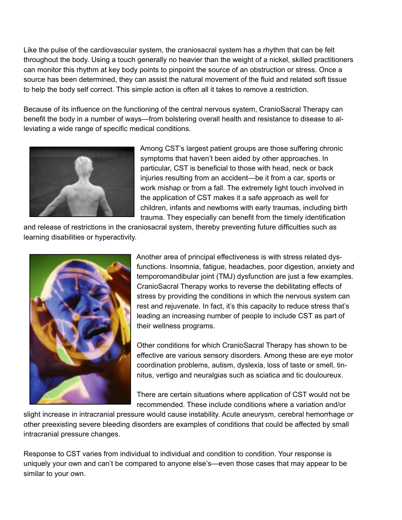Like the pulse of the cardiovascular system, the craniosacral system has a rhythm that can be felt throughout the body. Using a touch generally no heavier than the weight of a nickel, skilled practitioners can monitor this rhythm at key body points to pinpoint the source of an obstruction or stress. Once a source has been determined, they can assist the natural movement of the fluid and related soft tissue to help the body self correct. This simple action is often all it takes to remove a restriction.

Because of its influence on the functioning of the central nervous system, CranioSacral Therapy can benefit the body in a number of ways—from bolstering overall health and resistance to disease to alleviating a wide range of specific medical conditions.



Among CST's largest patient groups are those suffering chronic symptoms that haven't been aided by other approaches. In particular, CST is beneficial to those with head, neck or back injuries resulting from an accident—be it from a car, sports or work mishap or from a fall. The extremely light touch involved in the application of CST makes it a safe approach as well for children, infants and newborns with early traumas, including birth trauma. They especially can benefit from the timely identification

and release of restrictions in the craniosacral system, thereby preventing future difficulties such as learning disabilities or hyperactivity.



Another area of principal effectiveness is with stress related dysfunctions. Insomnia, fatigue, headaches, poor digestion, anxiety and temporomandibular joint (TMJ) dysfunction are just a few examples. CranioSacral Therapy works to reverse the debilitating effects of stress by providing the conditions in which the nervous system can rest and rejuvenate. In fact, it's this capacity to reduce stress that's leading an increasing number of people to include CST as part of their wellness programs.

Other conditions for which CranioSacral Therapy has shown to be effective are various sensory disorders. Among these are eye motor coordination problems, autism, dyslexia, loss of taste or smell, tinnitus, vertigo and neuralgias such as sciatica and tic douloureux.

There are certain situations where application of CST would not be recommended. These include conditions where a variation and/or

slight increase in intracranial pressure would cause instability. Acute aneurysm, cerebral hemorrhage or other preexisting severe bleeding disorders are examples of conditions that could be affected by small intracranial pressure changes.

Response to CST varies from individual to individual and condition to condition. Your response is uniquely your own and can't be compared to anyone else's—even those cases that may appear to be similar to your own.